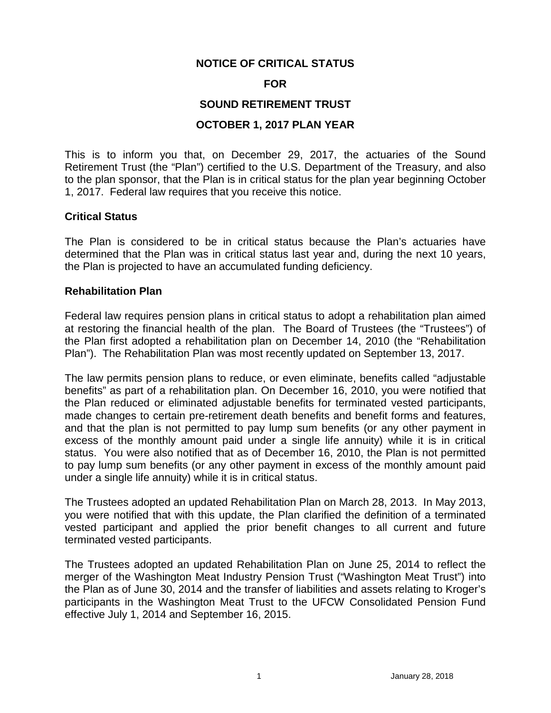## **NOTICE OF CRITICAL STATUS**

#### **FOR**

## **SOUND RETIREMENT TRUST**

## **OCTOBER 1, 2017 PLAN YEAR**

This is to inform you that, on December 29, 2017, the actuaries of the Sound Retirement Trust (the "Plan") certified to the U.S. Department of the Treasury, and also to the plan sponsor, that the Plan is in critical status for the plan year beginning October 1, 2017. Federal law requires that you receive this notice.

#### **Critical Status**

The Plan is considered to be in critical status because the Plan's actuaries have determined that the Plan was in critical status last year and, during the next 10 years, the Plan is projected to have an accumulated funding deficiency.

#### **Rehabilitation Plan**

Federal law requires pension plans in critical status to adopt a rehabilitation plan aimed at restoring the financial health of the plan. The Board of Trustees (the "Trustees") of the Plan first adopted a rehabilitation plan on December 14, 2010 (the "Rehabilitation Plan"). The Rehabilitation Plan was most recently updated on September 13, 2017.

The law permits pension plans to reduce, or even eliminate, benefits called "adjustable benefits" as part of a rehabilitation plan. On December 16, 2010, you were notified that the Plan reduced or eliminated adjustable benefits for terminated vested participants, made changes to certain pre-retirement death benefits and benefit forms and features, and that the plan is not permitted to pay lump sum benefits (or any other payment in excess of the monthly amount paid under a single life annuity) while it is in critical status. You were also notified that as of December 16, 2010, the Plan is not permitted to pay lump sum benefits (or any other payment in excess of the monthly amount paid under a single life annuity) while it is in critical status.

The Trustees adopted an updated Rehabilitation Plan on March 28, 2013. In May 2013, you were notified that with this update, the Plan clarified the definition of a terminated vested participant and applied the prior benefit changes to all current and future terminated vested participants.

The Trustees adopted an updated Rehabilitation Plan on June 25, 2014 to reflect the merger of the Washington Meat Industry Pension Trust ("Washington Meat Trust") into the Plan as of June 30, 2014 and the transfer of liabilities and assets relating to Kroger's participants in the Washington Meat Trust to the UFCW Consolidated Pension Fund effective July 1, 2014 and September 16, 2015.